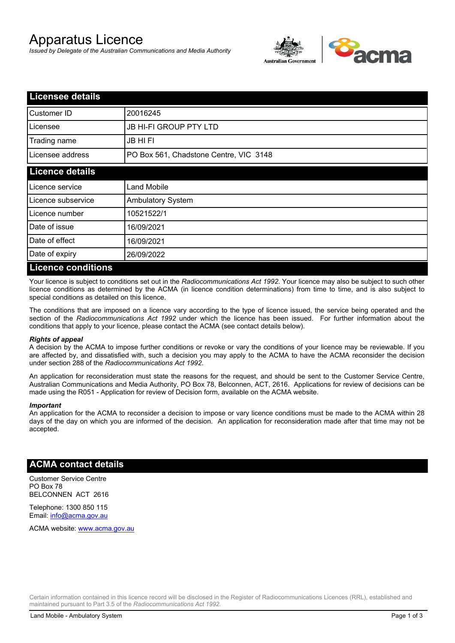# Apparatus Licence

*Issued by Delegate of the Australian Communications and Media Authority*



| <b>Licensee details</b>   |                                        |  |
|---------------------------|----------------------------------------|--|
| Customer ID               | 20016245                               |  |
| Licensee                  | <b>JB HI-FI GROUP PTY LTD</b>          |  |
| Trading name              | <b>JB HIFI</b>                         |  |
| Licensee address          | PO Box 561, Chadstone Centre, VIC 3148 |  |
| <b>Licence details</b>    |                                        |  |
| Licence service           | <b>Land Mobile</b>                     |  |
| Licence subservice        | Ambulatory System                      |  |
| Licence number            | 10521522/1                             |  |
| Date of issue             | 16/09/2021                             |  |
| Date of effect            | 16/09/2021                             |  |
| Date of expiry            | 26/09/2022                             |  |
| <b>Licence conditions</b> |                                        |  |

Your licence is subject to conditions set out in the *Radiocommunications Act 1992*. Your licence may also be subject to such other licence conditions as determined by the ACMA (in licence condition determinations) from time to time, and is also subject to special conditions as detailed on this licence.

The conditions that are imposed on a licence vary according to the type of licence issued, the service being operated and the section of the *Radiocommunications Act 1992* under which the licence has been issued. For further information about the conditions that apply to your licence, please contact the ACMA (see contact details below).

#### *Rights of appeal*

A decision by the ACMA to impose further conditions or revoke or vary the conditions of your licence may be reviewable. If you are affected by, and dissatisfied with, such a decision you may apply to the ACMA to have the ACMA reconsider the decision under section 288 of the *Radiocommunications Act 1992*.

An application for reconsideration must state the reasons for the request, and should be sent to the Customer Service Centre, Australian Communications and Media Authority, PO Box 78, Belconnen, ACT, 2616. Applications for review of decisions can be made using the R051 - Application for review of Decision form, available on the ACMA website.

#### *Important*

An application for the ACMA to reconsider a decision to impose or vary licence conditions must be made to the ACMA within 28 days of the day on which you are informed of the decision. An application for reconsideration made after that time may not be accepted.

#### **ACMA contact details**

Customer Service Centre PO Box 78 BELCONNEN ACT 2616

Telephone: 1300 850 115 Email: info@acma.gov.au

ACMA website: www.acma.gov.au

Certain information contained in this licence record will be disclosed in the Register of Radiocommunications Licences (RRL), established and maintained pursuant to Part 3.5 of the *Radiocommunications Act 1992.*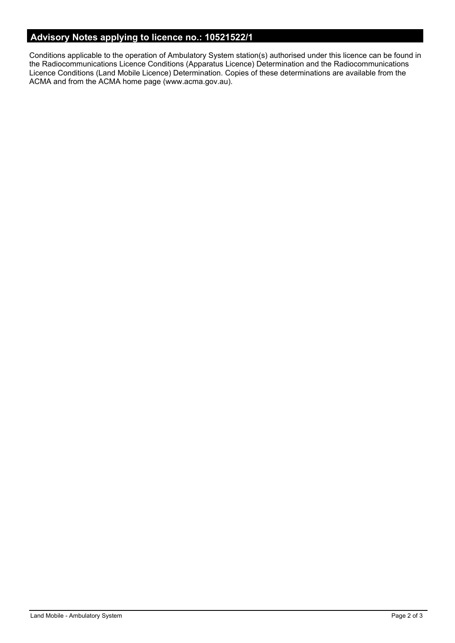# **Advisory Notes applying to licence no.: 10521522/1**

Conditions applicable to the operation of Ambulatory System station(s) authorised under this licence can be found in the Radiocommunications Licence Conditions (Apparatus Licence) Determination and the Radiocommunications Licence Conditions (Land Mobile Licence) Determination. Copies of these determinations are available from the ACMA and from the ACMA home page (www.acma.gov.au).